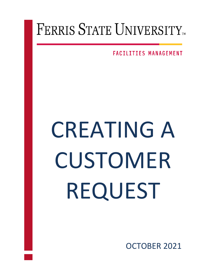## FERRIS STATE UNIVERSITY

**FACILITIES MANAGEMENT** 

## CREATING A CUSTOMER REQUEST

OCTOBER 2021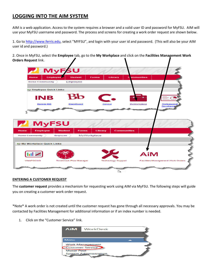## **LOGGING INTO THE AIM SYSTEM**

AIM is a web application. Access to the system requires a browser and a valid user ID and password for MyFSU. AIM will use your MyFSU username and password. The process and screens for creating a work order request are shown below.

1. Go to [http://www.ferris.edu](http://www.ferris.edu/), select "MYFSU", and login with your user id and password. (This will also be your AIM user id and password.)

2. Once in MyFSU, select the **Employee** tab, go to the **My Workplace** and click on the **Facilities Management Work Orders Request** link.



## **ENTERING A CUSTOMER REQUEST**

The **customer request** provides a mechanism for requesting work using AIM via MyFSU. The following steps will guide you on creating a customer work order request.

\*Note\* A work order is not created until the customer request has gone through all necessary approvals. You may be contacted by Facilities Management for additional information or if an index number is needed.

1. Click on the "Customer Service" link.

| <b>AiM</b>              | WorkDesk                     |  |
|-------------------------|------------------------------|--|
|                         |                              |  |
| Menu                    |                              |  |
| <b>Work Management</b>  |                              |  |
| <b>Customer Service</b> |                              |  |
| <b>Motor Pool</b>       |                              |  |
|                         | <b>System Administration</b> |  |